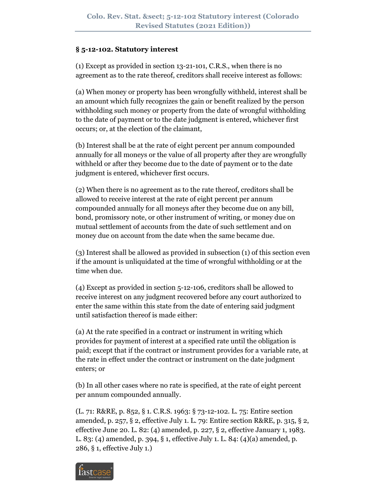### **§ 5-12-102. Statutory interest**

(1) Except as provided in section 13-21-101, C.R.S., when there is no agreement as to the rate thereof, creditors shall receive interest as follows:

(a) When money or property has been wrongfully withheld, interest shall be an amount which fully recognizes the gain or benefit realized by the person withholding such money or property from the date of wrongful withholding to the date of payment or to the date judgment is entered, whichever first occurs; or, at the election of the claimant,

(b) Interest shall be at the rate of eight percent per annum compounded annually for all moneys or the value of all property after they are wrongfully withheld or after they become due to the date of payment or to the date judgment is entered, whichever first occurs.

(2) When there is no agreement as to the rate thereof, creditors shall be allowed to receive interest at the rate of eight percent per annum compounded annually for all moneys after they become due on any bill, bond, promissory note, or other instrument of writing, or money due on mutual settlement of accounts from the date of such settlement and on money due on account from the date when the same became due.

(3) Interest shall be allowed as provided in subsection (1) of this section even if the amount is unliquidated at the time of wrongful withholding or at the time when due.

(4) Except as provided in section 5-12-106, creditors shall be allowed to receive interest on any judgment recovered before any court authorized to enter the same within this state from the date of entering said judgment until satisfaction thereof is made either:

(a) At the rate specified in a contract or instrument in writing which provides for payment of interest at a specified rate until the obligation is paid; except that if the contract or instrument provides for a variable rate, at the rate in effect under the contract or instrument on the date judgment enters; or

(b) In all other cases where no rate is specified, at the rate of eight percent per annum compounded annually.

(L. 71: R&RE, p. 852, § 1. C.R.S. 1963: § 73-12-102. L. 75: Entire section amended, p. 257, § 2, effective July 1. L. 79: Entire section R&RE, p. 315, § 2, effective June 20. L. 82: (4) amended, p. 227, § 2, effective January 1, 1983. L. 83: (4) amended, p. 394, § 1, effective July 1. L. 84: (4)(a) amended, p. 286, § 1, effective July 1.)

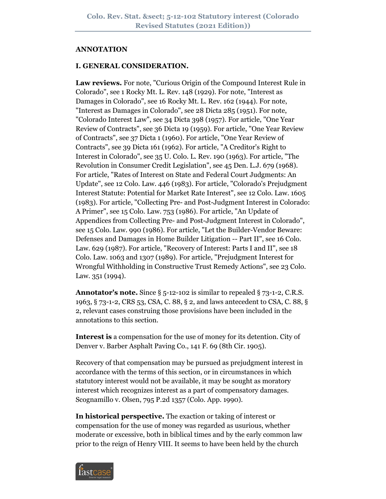#### **ANNOTATION**

#### **I. GENERAL CONSIDERATION.**

**Law reviews.** For note, "Curious Origin of the Compound Interest Rule in Colorado", see 1 Rocky Mt. L. Rev. 148 (1929). For note, "Interest as Damages in Colorado", see 16 Rocky Mt. L. Rev. 162 (1944). For note, "Interest as Damages in Colorado", see 28 Dicta 285 (1951). For note, "Colorado Interest Law", see 34 Dicta 398 (1957). For article, "One Year Review of Contracts", see 36 Dicta 19 (1959). For article, "One Year Review of Contracts", see 37 Dicta 1 (1960). For article, "One Year Review of Contracts", see 39 Dicta 161 (1962). For article, "A Creditor's Right to Interest in Colorado", see 35 U. Colo. L. Rev. 190 (1963). For article, "The Revolution in Consumer Credit Legislation", see 45 Den. L.J. 679 (1968). For article, "Rates of Interest on State and Federal Court Judgments: An Update", see 12 Colo. Law. 446 (1983). For article, "Colorado's Prejudgment Interest Statute: Potential for Market Rate Interest", see 12 Colo. Law. 1605 (1983). For article, "Collecting Pre- and Post-Judgment Interest in Colorado: A Primer", see 15 Colo. Law. 753 (1986). For article, "An Update of Appendices from Collecting Pre- and Post-Judgment Interest in Colorado", see 15 Colo. Law. 990 (1986). For article, "Let the Builder-Vendor Beware: Defenses and Damages in Home Builder Litigation -- Part II", see 16 Colo. Law. 629 (1987). For article, "Recovery of Interest: Parts I and II", see 18 Colo. Law. 1063 and 1307 (1989). For article, "Prejudgment Interest for Wrongful Withholding in Constructive Trust Remedy Actions", see 23 Colo. Law. 351 (1994).

**Annotator's note.** Since § 5-12-102 is similar to repealed § 73-1-2, C.R.S. 1963, § 73-1-2, CRS 53, CSA, C. 88, § 2, and laws antecedent to CSA, C. 88, § 2, relevant cases construing those provisions have been included in the annotations to this section.

**Interest is** a compensation for the use of money for its detention. City of Denver v. Barber Asphalt Paving Co., 141 F. 69 (8th Cir. 1905).

Recovery of that compensation may be pursued as prejudgment interest in accordance with the terms of this section, or in circumstances in which statutory interest would not be available, it may be sought as moratory interest which recognizes interest as a part of compensatory damages. Scognamillo v. Olsen, 795 P.2d 1357 (Colo. App. 1990).

**In historical perspective.** The exaction or taking of interest or compensation for the use of money was regarded as usurious, whether moderate or excessive, both in biblical times and by the early common law prior to the reign of Henry VIII. It seems to have been held by the church

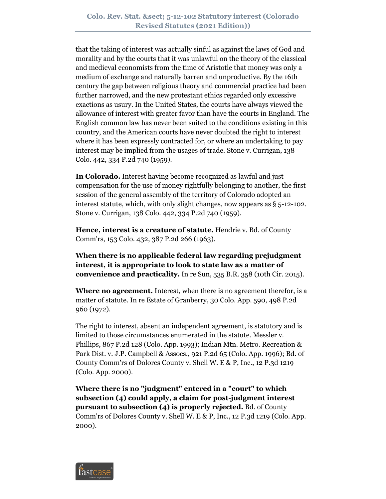that the taking of interest was actually sinful as against the laws of God and morality and by the courts that it was unlawful on the theory of the classical and medieval economists from the time of Aristotle that money was only a medium of exchange and naturally barren and unproductive. By the 16th century the gap between religious theory and commercial practice had been further narrowed, and the new protestant ethics regarded only excessive exactions as usury. In the United States, the courts have always viewed the allowance of interest with greater favor than have the courts in England. The English common law has never been suited to the conditions existing in this country, and the American courts have never doubted the right to interest where it has been expressly contracted for, or where an undertaking to pay interest may be implied from the usages of trade. Stone v. Currigan, 138 Colo. 442, 334 P.2d 740 (1959).

**In Colorado.** Interest having become recognized as lawful and just compensation for the use of money rightfully belonging to another, the first session of the general assembly of the territory of Colorado adopted an interest statute, which, with only slight changes, now appears as § 5-12-102. Stone v. Currigan, 138 Colo. 442, 334 P.2d 740 (1959).

**Hence, interest is a creature of statute.** Hendrie v. Bd. of County Comm'rs, 153 Colo. 432, 387 P.2d 266 (1963).

**When there is no applicable federal law regarding prejudgment interest, it is appropriate to look to state law as a matter of convenience and practicality.** In re Sun, 535 B.R. 358 (10th Cir. 2015).

**Where no agreement.** Interest, when there is no agreement therefor, is a matter of statute. In re Estate of Granberry, 30 Colo. App. 590, 498 P.2d 960 (1972).

The right to interest, absent an independent agreement, is statutory and is limited to those circumstances enumerated in the statute. Messler v. Phillips, 867 P.2d 128 (Colo. App. 1993); Indian Mtn. Metro. Recreation & Park Dist. v. J.P. Campbell & Assocs., 921 P.2d 65 (Colo. App. 1996); Bd. of County Comm'rs of Dolores County v. Shell W. E & P, Inc., 12 P.3d 1219 (Colo. App. 2000).

**Where there is no "judgment" entered in a "court" to which subsection (4) could apply, a claim for post-judgment interest pursuant to subsection (4) is properly rejected.** Bd. of County Comm'rs of Dolores County v. Shell W. E & P, Inc., 12 P.3d 1219 (Colo. App. 2000).

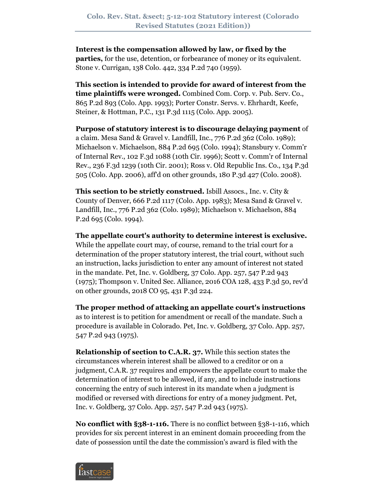**Interest is the compensation allowed by law, or fixed by the parties,** for the use, detention, or forbearance of money or its equivalent. Stone v. Currigan, 138 Colo. 442, 334 P.2d 740 (1959).

**This section is intended to provide for award of interest from the time plaintiffs were wronged.** Combined Com. Corp. v. Pub. Serv. Co., 865 P.2d 893 (Colo. App. 1993); Porter Constr. Servs. v. Ehrhardt, Keefe, Steiner, & Hottman, P.C., 131 P.3d 1115 (Colo. App. 2005).

**Purpose of statutory interest is to discourage delaying payment** of a claim. Mesa Sand & Gravel v. Landfill, Inc., 776 P.2d 362 (Colo. 1989); Michaelson v. Michaelson, 884 P.2d 695 (Colo. 1994); Stansbury v. Comm'r of Internal Rev., 102 F.3d 1088 (10th Cir. 1996); Scott v. Comm'r of Internal Rev., 236 F.3d 1239 (10th Cir. 2001); Ross v. Old Republic Ins. Co., 134 P.3d 505 (Colo. App. 2006), aff'd on other grounds, 180 P.3d 427 (Colo. 2008).

**This section to be strictly construed.** Isbill Assocs., Inc. v. City & County of Denver, 666 P.2d 1117 (Colo. App. 1983); Mesa Sand & Gravel v. Landfill, Inc., 776 P.2d 362 (Colo. 1989); Michaelson v. Michaelson, 884 P.2d 695 (Colo. 1994).

**The appellate court's authority to determine interest is exclusive.** While the appellate court may, of course, remand to the trial court for a determination of the proper statutory interest, the trial court, without such an instruction, lacks jurisdiction to enter any amount of interest not stated in the mandate. Pet, Inc. v. Goldberg, 37 Colo. App. 257, 547 P.2d 943 (1975); Thompson v. United Sec. Alliance, 2016 COA 128, 433 P.3d 50, rev'd on other grounds, 2018 CO 95, 431 P.3d 224.

**The proper method of attacking an appellate court's instructions** as to interest is to petition for amendment or recall of the mandate. Such a procedure is available in Colorado. Pet, Inc. v. Goldberg, 37 Colo. App. 257, 547 P.2d 943 (1975).

**Relationship of section to C.A.R. 37.** While this section states the circumstances wherein interest shall be allowed to a creditor or on a judgment, C.A.R. 37 requires and empowers the appellate court to make the determination of interest to be allowed, if any, and to include instructions concerning the entry of such interest in its mandate when a judgment is modified or reversed with directions for entry of a money judgment. Pet, Inc. v. Goldberg, 37 Colo. App. 257, 547 P.2d 943 (1975).

**No conflict with §38-1-116.** There is no conflict between §38-1-116, which provides for six percent interest in an eminent domain proceeding from the date of possession until the date the commission's award is filed with the

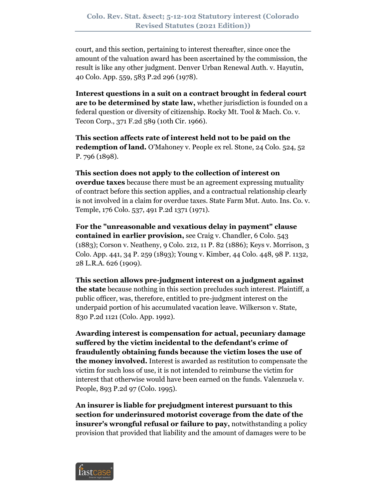court, and this section, pertaining to interest thereafter, since once the amount of the valuation award has been ascertained by the commission, the result is like any other judgment. Denver Urban Renewal Auth. v. Hayutin, 40 Colo. App. 559, 583 P.2d 296 (1978).

**Interest questions in a suit on a contract brought in federal court are to be determined by state law,** whether jurisdiction is founded on a federal question or diversity of citizenship. Rocky Mt. Tool & Mach. Co. v. Tecon Corp., 371 F.2d 589 (10th Cir. 1966).

**This section affects rate of interest held not to be paid on the redemption of land.** O'Mahoney v. People ex rel. Stone, 24 Colo. 524, 52 P. 796 (1898).

**This section does not apply to the collection of interest on overdue taxes** because there must be an agreement expressing mutuality of contract before this section applies, and a contractual relationship clearly is not involved in a claim for overdue taxes. State Farm Mut. Auto. Ins. Co. v. Temple, 176 Colo. 537, 491 P.2d 1371 (1971).

**For the "unreasonable and vexatious delay in payment" clause contained in earlier provision,** see Craig v. Chandler, 6 Colo. 543 (1883); Corson v. Neatheny, 9 Colo. 212, 11 P. 82 (1886); Keys v. Morrison, 3 Colo. App. 441, 34 P. 259 (1893); Young v. Kimber, 44 Colo. 448, 98 P. 1132, 28 L.R.A. 626 (1909).

**This section allows pre-judgment interest on a judgment against the state** because nothing in this section precludes such interest. Plaintiff, a public officer, was, therefore, entitled to pre-judgment interest on the underpaid portion of his accumulated vacation leave. Wilkerson v. State, 830 P.2d 1121 (Colo. App. 1992).

**Awarding interest is compensation for actual, pecuniary damage suffered by the victim incidental to the defendant's crime of fraudulently obtaining funds because the victim loses the use of the money involved.** Interest is awarded as restitution to compensate the victim for such loss of use, it is not intended to reimburse the victim for interest that otherwise would have been earned on the funds. Valenzuela v. People, 893 P.2d 97 (Colo. 1995).

**An insurer is liable for prejudgment interest pursuant to this section for underinsured motorist coverage from the date of the insurer's wrongful refusal or failure to pay,** notwithstanding a policy provision that provided that liability and the amount of damages were to be

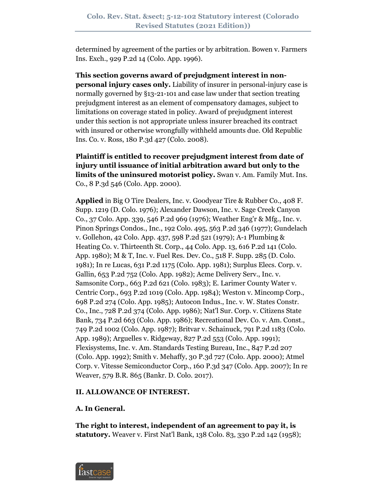determined by agreement of the parties or by arbitration. Bowen v. Farmers Ins. Exch., 929 P.2d 14 (Colo. App. 1996).

**This section governs award of prejudgment interest in nonpersonal injury cases only.** Liability of insurer in personal-injury case is normally governed by §13-21-101 and case law under that section treating prejudgment interest as an element of compensatory damages, subject to limitations on coverage stated in policy. Award of prejudgment interest under this section is not appropriate unless insurer breached its contract with insured or otherwise wrongfully withheld amounts due. Old Republic Ins. Co. v. Ross, 180 P.3d 427 (Colo. 2008).

**Plaintiff is entitled to recover prejudgment interest from date of injury until issuance of initial arbitration award but only to the limits of the uninsured motorist policy.** Swan v. Am. Family Mut. Ins. Co., 8 P.3d 546 (Colo. App. 2000).

**Applied** in Big O Tire Dealers, Inc. v. Goodyear Tire & Rubber Co., 408 F. Supp. 1219 (D. Colo. 1976); Alexander Dawson, Inc. v. Sage Creek Canyon Co., 37 Colo. App. 339, 546 P.2d 969 (1976); Weather Eng'r & Mfg., Inc. v. Pinon Springs Condos., Inc., 192 Colo. 495, 563 P.2d 346 (1977); Gundelach v. Gollehon, 42 Colo. App. 437, 598 P.2d 521 (1979); A-1 Plumbing & Heating Co. v. Thirteenth St. Corp., 44 Colo. App. 13, 616 P.2d 141 (Colo. App. 1980); M & T, Inc. v. Fuel Res. Dev. Co., 518 F. Supp. 285 (D. Colo. 1981); In re Lucas, 631 P.2d 1175 (Colo. App. 1981); Surplus Elecs. Corp. v. Gallin, 653 P.2d 752 (Colo. App. 1982); Acme Delivery Serv., Inc. v. Samsonite Corp., 663 P.2d 621 (Colo. 1983); E. Larimer County Water v. Centric Corp., 693 P.2d 1019 (Colo. App. 1984); Weston v. Mincomp Corp., 698 P.2d 274 (Colo. App. 1985); Autocon Indus., Inc. v. W. States Constr. Co., Inc., 728 P.2d 374 (Colo. App. 1986); Nat'l Sur. Corp. v. Citizens State Bank, 734 P.2d 663 (Colo. App. 1986); Recreational Dev. Co. v. Am. Const., 749 P.2d 1002 (Colo. App. 1987); Britvar v. Schainuck, 791 P.2d 1183 (Colo. App. 1989); Arguelles v. Ridgeway, 827 P.2d 553 (Colo. App. 1991); Flexisystems, Inc. v. Am. Standards Testing Bureau, Inc., 847 P.2d 207 (Colo. App. 1992); Smith v. Mehaffy, 30 P.3d 727 (Colo. App. 2000); Atmel Corp. v. Vitesse Semiconductor Corp., 160 P.3d 347 (Colo. App. 2007); In re Weaver, 579 B.R. 865 (Bankr. D. Colo. 2017).

## **II. ALLOWANCE OF INTEREST.**

# **A. In General.**

**The right to interest, independent of an agreement to pay it, is statutory.** Weaver v. First Nat'l Bank, 138 Colo. 83, 330 P.2d 142 (1958);

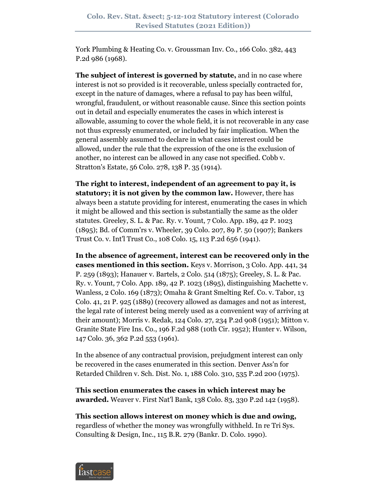York Plumbing & Heating Co. v. Groussman Inv. Co., 166 Colo. 382, 443 P.2d 986 (1968).

**The subject of interest is governed by statute,** and in no case where interest is not so provided is it recoverable, unless specially contracted for, except in the nature of damages, where a refusal to pay has been wilful, wrongful, fraudulent, or without reasonable cause. Since this section points out in detail and especially enumerates the cases in which interest is allowable, assuming to cover the whole field, it is not recoverable in any case not thus expressly enumerated, or included by fair implication. When the general assembly assumed to declare in what cases interest could be allowed, under the rule that the expression of the one is the exclusion of another, no interest can be allowed in any case not specified. Cobb v. Stratton's Estate, 56 Colo. 278, 138 P. 35 (1914).

**The right to interest, independent of an agreement to pay it, is statutory; it is not given by the common law.** However, there has always been a statute providing for interest, enumerating the cases in which it might be allowed and this section is substantially the same as the older statutes. Greeley, S. L. & Pac. Ry. v. Yount, 7 Colo. App. 189, 42 P. 1023 (1895); Bd. of Comm'rs v. Wheeler, 39 Colo. 207, 89 P. 50 (1907); Bankers Trust Co. v. Int'l Trust Co., 108 Colo. 15, 113 P.2d 656 (1941).

**In the absence of agreement, interest can be recovered only in the cases mentioned in this section.** Keys v. Morrison, 3 Colo. App. 441, 34 P. 259 (1893); Hanauer v. Bartels, 2 Colo. 514 (1875); Greeley, S. L. & Pac. Ry. v. Yount, 7 Colo. App. 189, 42 P. 1023 (1895), distinguishing Machette v. Wanless, 2 Colo. 169 (1873); Omaha & Grant Smelting Ref. Co. v. Tabor, 13 Colo. 41, 21 P. 925 (1889) (recovery allowed as damages and not as interest, the legal rate of interest being merely used as a convenient way of arriving at their amount); Morris v. Redak, 124 Colo. 27, 234 P.2d 908 (1951); Mitton v. Granite State Fire Ins. Co., 196 F.2d 988 (10th Cir. 1952); Hunter v. Wilson, 147 Colo. 36, 362 P.2d 553 (1961).

In the absence of any contractual provision, prejudgment interest can only be recovered in the cases enumerated in this section. Denver Ass'n for Retarded Children v. Sch. Dist. No. 1, 188 Colo. 310, 535 P.2d 200 (1975).

**This section enumerates the cases in which interest may be awarded.** Weaver v. First Nat'l Bank, 138 Colo. 83, 330 P.2d 142 (1958).

**This section allows interest on money which is due and owing,** regardless of whether the money was wrongfully withheld. In re Tri Sys. Consulting & Design, Inc., 115 B.R. 279 (Bankr. D. Colo. 1990).

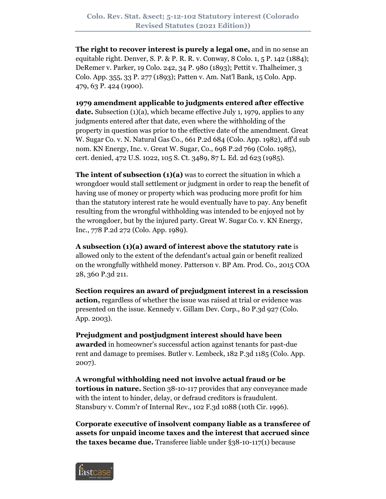**The right to recover interest is purely a legal one,** and in no sense an equitable right. Denver, S. P. & P. R. R. v. Conway, 8 Colo. 1, 5 P. 142 (1884); DeRemer v. Parker, 19 Colo. 242, 34 P. 980 (1893); Pettit v. Thalheimer, 3 Colo. App. 355, 33 P. 277 (1893); Patten v. Am. Nat'l Bank, 15 Colo. App. 479, 63 P. 424 (1900).

**1979 amendment applicable to judgments entered after effective date.** Subsection (1)(a), which became effective July 1, 1979, applies to any judgments entered after that date, even where the withholding of the property in question was prior to the effective date of the amendment. Great W. Sugar Co. v. N. Natural Gas Co., 661 P.2d 684 (Colo. App. 1982), aff'd sub nom. KN Energy, Inc. v. Great W. Sugar, Co., 698 P.2d 769 (Colo. 1985), cert. denied, 472 U.S. 1022, 105 S. Ct. 3489, 87 L. Ed. 2d 623 (1985).

**The intent of subsection (1)(a)** was to correct the situation in which a wrongdoer would stall settlement or judgment in order to reap the benefit of having use of money or property which was producing more profit for him than the statutory interest rate he would eventually have to pay. Any benefit resulting from the wrongful withholding was intended to be enjoyed not by the wrongdoer, but by the injured party. Great W. Sugar Co. v. KN Energy, Inc., 778 P.2d 272 (Colo. App. 1989).

**A subsection (1)(a) award of interest above the statutory rate** is allowed only to the extent of the defendant's actual gain or benefit realized on the wrongfully withheld money. Patterson v. BP Am. Prod. Co., 2015 COA 28, 360 P.3d 211.

**Section requires an award of prejudgment interest in a rescission action,** regardless of whether the issue was raised at trial or evidence was presented on the issue. Kennedy v. Gillam Dev. Corp., 80 P.3d 927 (Colo. App. 2003).

**Prejudgment and postjudgment interest should have been awarded** in homeowner's successful action against tenants for past-due rent and damage to premises. Butler v. Lembeck, 182 P.3d 1185 (Colo. App. 2007).

**A wrongful withholding need not involve actual fraud or be tortious in nature.** Section 38-10-117 provides that any conveyance made with the intent to hinder, delay, or defraud creditors is fraudulent. Stansbury v. Comm'r of Internal Rev., 102 F.3d 1088 (10th Cir. 1996).

**Corporate executive of insolvent company liable as a transferee of assets for unpaid income taxes and the interest that accrued since the taxes became due.** Transferee liable under §38-10-117(1) because

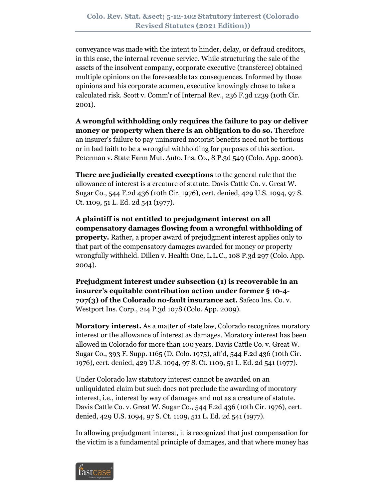conveyance was made with the intent to hinder, delay, or defraud creditors, in this case, the internal revenue service. While structuring the sale of the assets of the insolvent company, corporate executive (transferee) obtained multiple opinions on the foreseeable tax consequences. Informed by those opinions and his corporate acumen, executive knowingly chose to take a calculated risk. Scott v. Comm'r of Internal Rev., 236 F.3d 1239 (10th Cir. 2001).

**A wrongful withholding only requires the failure to pay or deliver money or property when there is an obligation to do so.** Therefore an insurer's failure to pay uninsured motorist benefits need not be tortious or in bad faith to be a wrongful withholding for purposes of this section. Peterman v. State Farm Mut. Auto. Ins. Co., 8 P.3d 549 (Colo. App. 2000).

**There are judicially created exceptions** to the general rule that the allowance of interest is a creature of statute. Davis Cattle Co. v. Great W. Sugar Co., 544 F.2d 436 (10th Cir. 1976), cert. denied, 429 U.S. 1094, 97 S. Ct. 1109, 51 L. Ed. 2d 541 (1977).

**A plaintiff is not entitled to prejudgment interest on all compensatory damages flowing from a wrongful withholding of property.** Rather, a proper award of prejudgment interest applies only to that part of the compensatory damages awarded for money or property wrongfully withheld. Dillen v. Health One, L.L.C., 108 P.3d 297 (Colo. App. 2004).

**Prejudgment interest under subsection (1) is recoverable in an insurer's equitable contribution action under former § 10-4- 707(3) of the Colorado no-fault insurance act.** Safeco Ins. Co. v. Westport Ins. Corp., 214 P.3d 1078 (Colo. App. 2009).

**Moratory interest.** As a matter of state law, Colorado recognizes moratory interest or the allowance of interest as damages. Moratory interest has been allowed in Colorado for more than 100 years. Davis Cattle Co. v. Great W. Sugar Co., 393 F. Supp. 1165 (D. Colo. 1975), aff'd, 544 F.2d 436 (10th Cir. 1976), cert. denied, 429 U.S. 1094, 97 S. Ct. 1109, 51 L. Ed. 2d 541 (1977).

Under Colorado law statutory interest cannot be awarded on an unliquidated claim but such does not preclude the awarding of moratory interest, i.e., interest by way of damages and not as a creature of statute. Davis Cattle Co. v. Great W. Sugar Co., 544 F.2d 436 (10th Cir. 1976), cert. denied, 429 U.S. 1094, 97 S. Ct. 1109, 511 L. Ed. 2d 541 (1977).

In allowing prejudgment interest, it is recognized that just compensation for the victim is a fundamental principle of damages, and that where money has

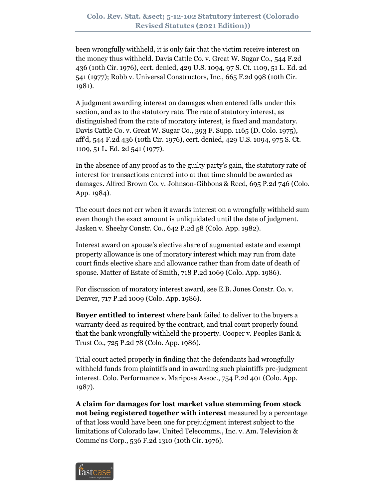been wrongfully withheld, it is only fair that the victim receive interest on the money thus withheld. Davis Cattle Co. v. Great W. Sugar Co., 544 F.2d 436 (10th Cir. 1976), cert. denied, 429 U.S. 1094, 97 S. Ct. 1109, 51 L. Ed. 2d 541 (1977); Robb v. Universal Constructors, Inc., 665 F.2d 998 (10th Cir. 1981).

A judgment awarding interest on damages when entered falls under this section, and as to the statutory rate. The rate of statutory interest, as distinguished from the rate of moratory interest, is fixed and mandatory. Davis Cattle Co. v. Great W. Sugar Co., 393 F. Supp. 1165 (D. Colo. 1975), aff'd, 544 F.2d 436 (10th Cir. 1976), cert. denied, 429 U.S. 1094, 975 S. Ct. 1109, 51 L. Ed. 2d 541 (1977).

In the absence of any proof as to the guilty party's gain, the statutory rate of interest for transactions entered into at that time should be awarded as damages. Alfred Brown Co. v. Johnson-Gibbons & Reed, 695 P.2d 746 (Colo. App. 1984).

The court does not err when it awards interest on a wrongfully withheld sum even though the exact amount is unliquidated until the date of judgment. Jasken v. Sheehy Constr. Co., 642 P.2d 58 (Colo. App. 1982).

Interest award on spouse's elective share of augmented estate and exempt property allowance is one of moratory interest which may run from date court finds elective share and allowance rather than from date of death of spouse. Matter of Estate of Smith, 718 P.2d 1069 (Colo. App. 1986).

For discussion of moratory interest award, see E.B. Jones Constr. Co. v. Denver, 717 P.2d 1009 (Colo. App. 1986).

**Buyer entitled to interest** where bank failed to deliver to the buyers a warranty deed as required by the contract, and trial court properly found that the bank wrongfully withheld the property. Cooper v. Peoples Bank & Trust Co., 725 P.2d 78 (Colo. App. 1986).

Trial court acted properly in finding that the defendants had wrongfully withheld funds from plaintiffs and in awarding such plaintiffs pre-judgment interest. Colo. Performance v. Mariposa Assoc., 754 P.2d 401 (Colo. App. 1987).

**A claim for damages for lost market value stemming from stock not being registered together with interest** measured by a percentage of that loss would have been one for prejudgment interest subject to the limitations of Colorado law. United Telecomms., Inc. v. Am. Television & Commc'ns Corp., 536 F.2d 1310 (10th Cir. 1976).

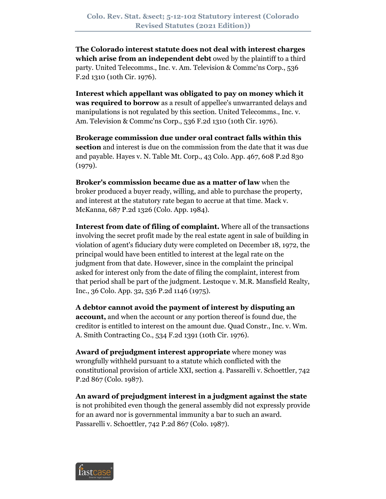**The Colorado interest statute does not deal with interest charges which arise from an independent debt** owed by the plaintiff to a third party. United Telecomms., Inc. v. Am. Television & Commc'ns Corp., 536 F.2d 1310 (10th Cir. 1976).

**Interest which appellant was obligated to pay on money which it was required to borrow** as a result of appellee's unwarranted delays and manipulations is not regulated by this section. United Telecomms., Inc. v. Am. Television & Commc'ns Corp., 536 F.2d 1310 (10th Cir. 1976).

**Brokerage commission due under oral contract falls within this section** and interest is due on the commission from the date that it was due and payable. Hayes v. N. Table Mt. Corp., 43 Colo. App. 467, 608 P.2d 830 (1979).

**Broker's commission became due as a matter of law** when the broker produced a buyer ready, willing, and able to purchase the property, and interest at the statutory rate began to accrue at that time. Mack v. McKanna, 687 P.2d 1326 (Colo. App. 1984).

**Interest from date of filing of complaint.** Where all of the transactions involving the secret profit made by the real estate agent in sale of building in violation of agent's fiduciary duty were completed on December 18, 1972, the principal would have been entitled to interest at the legal rate on the judgment from that date. However, since in the complaint the principal asked for interest only from the date of filing the complaint, interest from that period shall be part of the judgment. Lestoque v. M.R. Mansfield Realty, Inc., 36 Colo. App. 32, 536 P.2d 1146 (1975).

**A debtor cannot avoid the payment of interest by disputing an account,** and when the account or any portion thereof is found due, the creditor is entitled to interest on the amount due. Quad Constr., Inc. v. Wm. A. Smith Contracting Co., 534 F.2d 1391 (10th Cir. 1976).

**Award of prejudgment interest appropriate** where money was wrongfully withheld pursuant to a statute which conflicted with the constitutional provision of article XXI, section 4. Passarelli v. Schoettler, 742 P.2d 867 (Colo. 1987).

**An award of prejudgment interest in a judgment against the state** is not prohibited even though the general assembly did not expressly provide for an award nor is governmental immunity a bar to such an award. Passarelli v. Schoettler, 742 P.2d 867 (Colo. 1987).

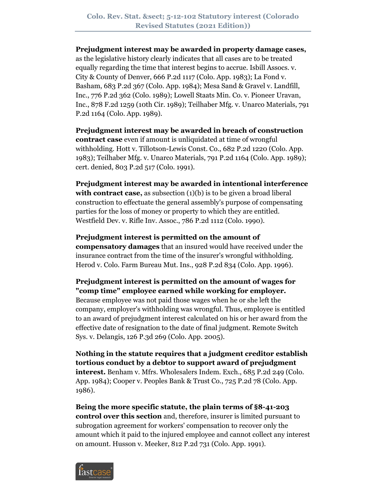### **Prejudgment interest may be awarded in property damage cases,**

as the legislative history clearly indicates that all cases are to be treated equally regarding the time that interest begins to accrue. Isbill Assocs. v. City & County of Denver, 666 P.2d 1117 (Colo. App. 1983); La Fond v. Basham, 683 P.2d 367 (Colo. App. 1984); Mesa Sand & Gravel v. Landfill, Inc., 776 P.2d 362 (Colo. 1989); Lowell Staats Min. Co. v. Pioneer Uravan, Inc., 878 F.2d 1259 (10th Cir. 1989); Teilhaber Mfg. v. Unarco Materials, 791 P.2d 1164 (Colo. App. 1989).

**Prejudgment interest may be awarded in breach of construction contract case** even if amount is unliquidated at time of wrongful withholding. Hott v. Tillotson-Lewis Const. Co., 682 P.2d 1220 (Colo. App. 1983); Teilhaber Mfg. v. Unarco Materials, 791 P.2d 1164 (Colo. App. 1989); cert. denied, 803 P.2d 517 (Colo. 1991).

**Prejudgment interest may be awarded in intentional interference with contract case,** as subsection (1)(b) is to be given a broad liberal construction to effectuate the general assembly's purpose of compensating parties for the loss of money or property to which they are entitled. Westfield Dev. v. Rifle Inv. Assoc., 786 P.2d 1112 (Colo. 1990).

**Prejudgment interest is permitted on the amount of compensatory damages** that an insured would have received under the insurance contract from the time of the insurer's wrongful withholding. Herod v. Colo. Farm Bureau Mut. Ins., 928 P.2d 834 (Colo. App. 1996).

**Prejudgment interest is permitted on the amount of wages for "comp time" employee earned while working for employer.** Because employee was not paid those wages when he or she left the company, employer's withholding was wrongful. Thus, employee is entitled to an award of prejudgment interest calculated on his or her award from the effective date of resignation to the date of final judgment. Remote Switch Sys. v. Delangis, 126 P.3d 269 (Colo. App. 2005).

**Nothing in the statute requires that a judgment creditor establish tortious conduct by a debtor to support award of prejudgment interest.** Benham v. Mfrs. Wholesalers Indem. Exch., 685 P.2d 249 (Colo. App. 1984); Cooper v. Peoples Bank & Trust Co., 725 P.2d 78 (Colo. App. 1986).

**Being the more specific statute, the plain terms of §8-41-203 control over this section** and, therefore, insurer is limited pursuant to subrogation agreement for workers' compensation to recover only the amount which it paid to the injured employee and cannot collect any interest on amount. Husson v. Meeker, 812 P.2d 731 (Colo. App. 1991).

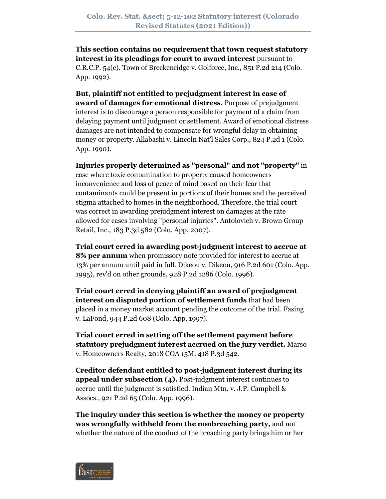**This section contains no requirement that town request statutory interest in its pleadings for court to award interest** pursuant to C.R.C.P. 54(c). Town of Breckenridge v. Golforce, Inc., 851 P.2d 214 (Colo. App. 1992).

**But, plaintiff not entitled to prejudgment interest in case of award of damages for emotional distress.** Purpose of prejudgment interest is to discourage a person responsible for payment of a claim from delaying payment until judgment or settlement. Award of emotional distress damages are not intended to compensate for wrongful delay in obtaining money or property. Allabashi v. Lincoln Nat'l Sales Corp., 824 P.2d 1 (Colo. App. 1990).

**Injuries properly determined as "personal" and not "property"** in case where toxic contamination to property caused homeowners inconvenience and loss of peace of mind based on their fear that contaminants could be present in portions of their homes and the perceived stigma attached to homes in the neighborhood. Therefore, the trial court was correct in awarding prejudgment interest on damages at the rate allowed for cases involving "personal injuries". Antolovich v. Brown Group Retail, Inc., 183 P.3d 582 (Colo. App. 2007).

**Trial court erred in awarding post-judgment interest to accrue at 8% per annum** when promissory note provided for interest to accrue at 13% per annum until paid in full. Dikeou v. Dikeou, 916 P.2d 601 (Colo. App. 1995), rev'd on other grounds, 928 P.2d 1286 (Colo. 1996).

**Trial court erred in denying plaintiff an award of prejudgment interest on disputed portion of settlement funds** that had been placed in a money market account pending the outcome of the trial. Fasing v. LaFond, 944 P.2d 608 (Colo. App. 1997).

**Trial court erred in setting off the settlement payment before statutory prejudgment interest accrued on the jury verdict.** Marso v. Homeowners Realty, 2018 COA 15M, 418 P.3d 542.

**Creditor defendant entitled to post-judgment interest during its appeal under subsection (4).** Post-judgment interest continues to accrue until the judgment is satisfied. Indian Mtn. v. J.P. Campbell & Assocs., 921 P.2d 65 (Colo. App. 1996).

**The inquiry under this section is whether the money or property was wrongfully withheld from the nonbreaching party,** and not whether the nature of the conduct of the breaching party brings him or her

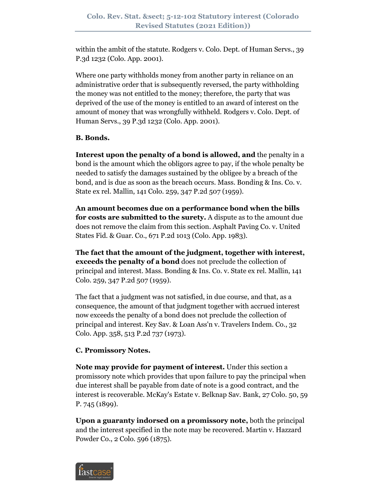within the ambit of the statute. Rodgers v. Colo. Dept. of Human Servs., 39 P.3d 1232 (Colo. App. 2001).

Where one party withholds money from another party in reliance on an administrative order that is subsequently reversed, the party withholding the money was not entitled to the money; therefore, the party that was deprived of the use of the money is entitled to an award of interest on the amount of money that was wrongfully withheld. Rodgers v. Colo. Dept. of Human Servs., 39 P.3d 1232 (Colo. App. 2001).

# **B. Bonds.**

**Interest upon the penalty of a bond is allowed, and** the penalty in a bond is the amount which the obligors agree to pay, if the whole penalty be needed to satisfy the damages sustained by the obligee by a breach of the bond, and is due as soon as the breach occurs. Mass. Bonding & Ins. Co. v. State ex rel. Mallin, 141 Colo. 259, 347 P.2d 507 (1959).

**An amount becomes due on a performance bond when the bills for costs are submitted to the surety.** A dispute as to the amount due does not remove the claim from this section. Asphalt Paving Co. v. United States Fid. & Guar. Co., 671 P.2d 1013 (Colo. App. 1983).

**The fact that the amount of the judgment, together with interest, exceeds the penalty of a bond** does not preclude the collection of principal and interest. Mass. Bonding & Ins. Co. v. State ex rel. Mallin, 141 Colo. 259, 347 P.2d 507 (1959).

The fact that a judgment was not satisfied, in due course, and that, as a consequence, the amount of that judgment together with accrued interest now exceeds the penalty of a bond does not preclude the collection of principal and interest. Key Sav. & Loan Ass'n v. Travelers Indem. Co., 32 Colo. App. 358, 513 P.2d 737 (1973).

# **C. Promissory Notes.**

**Note may provide for payment of interest.** Under this section a promissory note which provides that upon failure to pay the principal when due interest shall be payable from date of note is a good contract, and the interest is recoverable. McKay's Estate v. Belknap Sav. Bank, 27 Colo. 50, 59 P. 745 (1899).

**Upon a guaranty indorsed on a promissory note,** both the principal and the interest specified in the note may be recovered. Martin v. Hazzard Powder Co., 2 Colo. 596 (1875).

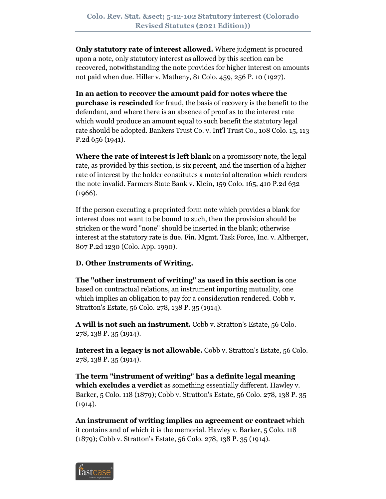**Only statutory rate of interest allowed.** Where judgment is procured upon a note, only statutory interest as allowed by this section can be recovered, notwithstanding the note provides for higher interest on amounts not paid when due. Hiller v. Matheny, 81 Colo. 459, 256 P. 10 (1927).

**In an action to recover the amount paid for notes where the purchase is rescinded** for fraud, the basis of recovery is the benefit to the defendant, and where there is an absence of proof as to the interest rate which would produce an amount equal to such benefit the statutory legal rate should be adopted. Bankers Trust Co. v. Int'l Trust Co., 108 Colo. 15, 113 P.2d 656 (1941).

**Where the rate of interest is left blank** on a promissory note, the legal rate, as provided by this section, is six percent, and the insertion of a higher rate of interest by the holder constitutes a material alteration which renders the note invalid. Farmers State Bank v. Klein, 159 Colo. 165, 410 P.2d 632 (1966).

If the person executing a preprinted form note which provides a blank for interest does not want to be bound to such, then the provision should be stricken or the word "none" should be inserted in the blank; otherwise interest at the statutory rate is due. Fin. Mgmt. Task Force, Inc. v. Altberger, 807 P.2d 1230 (Colo. App. 1990).

# **D. Other Instruments of Writing.**

**The "other instrument of writing" as used in this section is** one based on contractual relations, an instrument importing mutuality, one which implies an obligation to pay for a consideration rendered. Cobb v. Stratton's Estate, 56 Colo. 278, 138 P. 35 (1914).

**A will is not such an instrument.** Cobb v. Stratton's Estate, 56 Colo. 278, 138 P. 35 (1914).

**Interest in a legacy is not allowable.** Cobb v. Stratton's Estate, 56 Colo. 278, 138 P. 35 (1914).

**The term "instrument of writing" has a definite legal meaning which excludes a verdict** as something essentially different. Hawley v. Barker, 5 Colo. 118 (1879); Cobb v. Stratton's Estate, 56 Colo. 278, 138 P. 35  $(1914).$ 

**An instrument of writing implies an agreement or contract** which it contains and of which it is the memorial. Hawley v. Barker, 5 Colo. 118 (1879); Cobb v. Stratton's Estate, 56 Colo. 278, 138 P. 35 (1914).

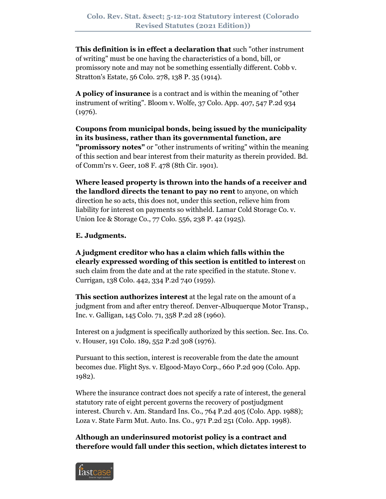**This definition is in effect a declaration that** such "other instrument of writing" must be one having the characteristics of a bond, bill, or promissory note and may not be something essentially different. Cobb v. Stratton's Estate, 56 Colo. 278, 138 P. 35 (1914).

**A policy of insurance** is a contract and is within the meaning of "other instrument of writing". Bloom v. Wolfe, 37 Colo. App. 407, 547 P.2d 934 (1976).

**Coupons from municipal bonds, being issued by the municipality in its business, rather than its governmental function, are "promissory notes"** or "other instruments of writing" within the meaning of this section and bear interest from their maturity as therein provided. Bd. of Comm'rs v. Geer, 108 F. 478 (8th Cir. 1901).

**Where leased property is thrown into the hands of a receiver and the landlord directs the tenant to pay no rent** to anyone, on which direction he so acts, this does not, under this section, relieve him from liability for interest on payments so withheld. Lamar Cold Storage Co. v. Union Ice & Storage Co., 77 Colo. 556, 238 P. 42 (1925).

### **E. Judgments.**

**A judgment creditor who has a claim which falls within the clearly expressed wording of this section is entitled to interest** on such claim from the date and at the rate specified in the statute. Stone v. Currigan, 138 Colo. 442, 334 P.2d 740 (1959).

**This section authorizes interest** at the legal rate on the amount of a judgment from and after entry thereof. Denver-Albuquerque Motor Transp., Inc. v. Galligan, 145 Colo. 71, 358 P.2d 28 (1960).

Interest on a judgment is specifically authorized by this section. Sec. Ins. Co. v. Houser, 191 Colo. 189, 552 P.2d 308 (1976).

Pursuant to this section, interest is recoverable from the date the amount becomes due. Flight Sys. v. Elgood-Mayo Corp., 660 P.2d 909 (Colo. App. 1982).

Where the insurance contract does not specify a rate of interest, the general statutory rate of eight percent governs the recovery of postjudgment interest. Church v. Am. Standard Ins. Co., 764 P.2d 405 (Colo. App. 1988); Loza v. State Farm Mut. Auto. Ins. Co., 971 P.2d 251 (Colo. App. 1998).

**Although an underinsured motorist policy is a contract and therefore would fall under this section, which dictates interest to** 

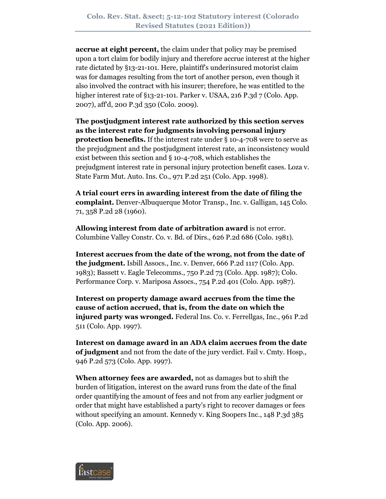**accrue at eight percent,** the claim under that policy may be premised upon a tort claim for bodily injury and therefore accrue interest at the higher rate dictated by §13-21-101. Here, plaintiff's underinsured motorist claim was for damages resulting from the tort of another person, even though it also involved the contract with his insurer; therefore, he was entitled to the higher interest rate of  $\S$ 13-21-101. Parker v. USAA, 216 P.3d  $7$  (Colo. App. 2007), aff'd, 200 P.3d 350 (Colo. 2009).

**The postjudgment interest rate authorized by this section serves as the interest rate for judgments involving personal injury protection benefits.** If the interest rate under § 10-4-708 were to serve as the prejudgment and the postjudgment interest rate, an inconsistency would exist between this section and § 10-4-708, which establishes the prejudgment interest rate in personal injury protection benefit cases. Loza v. State Farm Mut. Auto. Ins. Co., 971 P.2d 251 (Colo. App. 1998).

**A trial court errs in awarding interest from the date of filing the complaint.** Denver-Albuquerque Motor Transp., Inc. v. Galligan, 145 Colo. 71, 358 P.2d 28 (1960).

**Allowing interest from date of arbitration award** is not error. Columbine Valley Constr. Co. v. Bd. of Dirs., 626 P.2d 686 (Colo. 1981).

**Interest accrues from the date of the wrong, not from the date of the judgment.** Isbill Assocs., Inc. v. Denver, 666 P.2d 1117 (Colo. App. 1983); Bassett v. Eagle Telecomms., 750 P.2d 73 (Colo. App. 1987); Colo. Performance Corp. v. Mariposa Assocs., 754 P.2d 401 (Colo. App. 1987).

**Interest on property damage award accrues from the time the cause of action accrued, that is, from the date on which the injured party was wronged.** Federal Ins. Co. v. Ferrellgas, Inc., 961 P.2d 511 (Colo. App. 1997).

**Interest on damage award in an ADA claim accrues from the date of judgment** and not from the date of the jury verdict. Fail v. Cmty. Hosp., 946 P.2d 573 (Colo. App. 1997).

**When attorney fees are awarded,** not as damages but to shift the burden of litigation, interest on the award runs from the date of the final order quantifying the amount of fees and not from any earlier judgment or order that might have established a party's right to recover damages or fees without specifying an amount. Kennedy v. King Soopers Inc., 148 P.3d 385 (Colo. App. 2006).

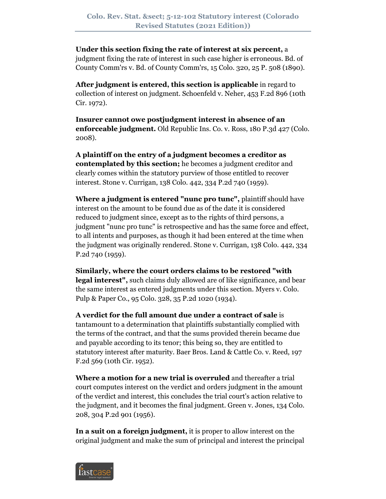# **Under this section fixing the rate of interest at six percent,** a

judgment fixing the rate of interest in such case higher is erroneous. Bd. of County Comm'rs v. Bd. of County Comm'rs, 15 Colo. 320, 25 P. 508 (1890).

**After judgment is entered, this section is applicable** in regard to collection of interest on judgment. Schoenfeld v. Neher, 453 F.2d 896 (10th Cir. 1972).

**Insurer cannot owe postjudgment interest in absence of an enforceable judgment.** Old Republic Ins. Co. v. Ross, 180 P.3d 427 (Colo. 2008).

**A plaintiff on the entry of a judgment becomes a creditor as contemplated by this section;** he becomes a judgment creditor and clearly comes within the statutory purview of those entitled to recover interest. Stone v. Currigan, 138 Colo. 442, 334 P.2d 740 (1959).

**Where a judgment is entered "nunc pro tunc",** plaintiff should have interest on the amount to be found due as of the date it is considered reduced to judgment since, except as to the rights of third persons, a judgment "nunc pro tunc" is retrospective and has the same force and effect, to all intents and purposes, as though it had been entered at the time when the judgment was originally rendered. Stone v. Currigan, 138 Colo. 442, 334 P.2d 740 (1959).

**Similarly, where the court orders claims to be restored "with legal interest",** such claims duly allowed are of like significance, and bear the same interest as entered judgments under this section. Myers v. Colo. Pulp & Paper Co., 95 Colo. 328, 35 P.2d 1020 (1934).

**A verdict for the full amount due under a contract of sale** is tantamount to a determination that plaintiffs substantially complied with the terms of the contract, and that the sums provided therein became due and payable according to its tenor; this being so, they are entitled to statutory interest after maturity. Baer Bros. Land & Cattle Co. v. Reed, 197 F.2d 569 (10th Cir. 1952).

**Where a motion for a new trial is overruled** and thereafter a trial court computes interest on the verdict and orders judgment in the amount of the verdict and interest, this concludes the trial court's action relative to the judgment, and it becomes the final judgment. Green v. Jones, 134 Colo. 208, 304 P.2d 901 (1956).

**In a suit on a foreign judgment,** it is proper to allow interest on the original judgment and make the sum of principal and interest the principal

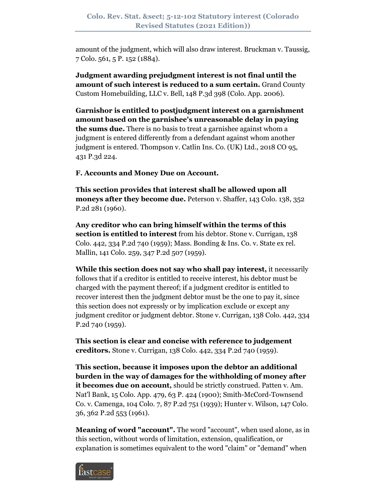amount of the judgment, which will also draw interest. Bruckman v. Taussig, 7 Colo. 561, 5 P. 152 (1884).

**Judgment awarding prejudgment interest is not final until the amount of such interest is reduced to a sum certain.** Grand County Custom Homebuilding, LLC v. Bell, 148 P.3d 398 (Colo. App. 2006).

**Garnishor is entitled to postjudgment interest on a garnishment amount based on the garnishee's unreasonable delay in paying the sums due.** There is no basis to treat a garnishee against whom a judgment is entered differently from a defendant against whom another judgment is entered. Thompson v. Catlin Ins. Co. (UK) Ltd., 2018 CO 95, 431 P.3d 224.

**F. Accounts and Money Due on Account.**

**This section provides that interest shall be allowed upon all moneys after they become due.** Peterson v. Shaffer, 143 Colo. 138, 352 P.2d 281 (1960).

**Any creditor who can bring himself within the terms of this section is entitled to interest** from his debtor. Stone v. Currigan, 138 Colo. 442, 334 P.2d 740 (1959); Mass. Bonding & Ins. Co. v. State ex rel. Mallin, 141 Colo. 259, 347 P.2d 507 (1959).

**While this section does not say who shall pay interest,** it necessarily follows that if a creditor is entitled to receive interest, his debtor must be charged with the payment thereof; if a judgment creditor is entitled to recover interest then the judgment debtor must be the one to pay it, since this section does not expressly or by implication exclude or except any judgment creditor or judgment debtor. Stone v. Currigan, 138 Colo. 442, 334 P.2d 740 (1959).

**This section is clear and concise with reference to judgement creditors.** Stone v. Currigan, 138 Colo. 442, 334 P.2d 740 (1959).

**This section, because it imposes upon the debtor an additional burden in the way of damages for the withholding of money after it becomes due on account,** should be strictly construed. Patten v. Am. Nat'l Bank, 15 Colo. App. 479, 63 P. 424 (1900); Smith-McCord-Townsend Co. v. Camenga, 104 Colo. 7, 87 P.2d 751 (1939); Hunter v. Wilson, 147 Colo. 36, 362 P.2d 553 (1961).

**Meaning of word "account".** The word "account", when used alone, as in this section, without words of limitation, extension, qualification, or explanation is sometimes equivalent to the word "claim" or "demand" when

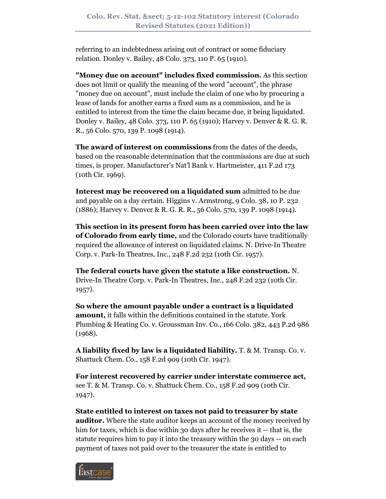referring to an indebtedness arising out of contract or some fiduciary relation. Donley v. Bailey, 48 Colo. 373, 110 P. 65 (1910).

**"Money due on account" includes fixed commission.** As this section does not limit or qualify the meaning of the word "account", the phrase "money due on account", must include the claim of one who by procuring a lease of lands for another earns a fixed sum as a commission, and he is entitled to interest from the time the claim became due, it being liquidated. Donley v. Bailey, 48 Colo. 373, 110 P. 65 (1910); Harvey v. Denver & R. G. R. R., 56 Colo. 570, 139 P. 1098 (1914).

**The award of interest on commissions** from the dates of the deeds, based on the reasonable determination that the commissions are due at such times, is proper. Manufacturer's Nat'l Bank v. Hartmeister, 411 F.2d 173 (10th Cir. 1969).

**Interest may be recovered on a liquidated sum** admitted to be due and payable on a day certain. Higgins v. Armstrong, 9 Colo. 38, 10 P. 232 (1886); Harvey v. Denver & R. G. R. R., 56 Colo. 570, 139 P. 1098 (1914).

**This section in its present form has been carried over into the law of Colorado from early time,** and the Colorado courts have traditionally required the allowance of interest on liquidated claims. N. Drive-In Theatre Corp. v. Park-In Theatres, Inc., 248 F.2d 232 (10th Cir. 1957).

**The federal courts have given the statute a like construction.** N. Drive-In Theatre Corp. v. Park-In Theatres, Inc., 248 F.2d 232 (10th Cir. 1957).

**So where the amount payable under a contract is a liquidated amount,** it falls within the definitions contained in the statute. York Plumbing & Heating Co. v. Groussman Inv. Co., 166 Colo. 382, 443 P.2d 986 (1968).

**A liability fixed by law is a liquidated liability.** T. & M. Transp. Co. v. Shattuck Chem. Co., 158 F.2d 909 (10th Cir. 1947).

**For interest recovered by carrier under interstate commerce act,** see T. & M. Transp. Co. v. Shattuck Chem. Co., 158 F.2d 909 (10th Cir. 1947).

**State entitled to interest on taxes not paid to treasurer by state auditor.** Where the state auditor keeps an account of the money received by him for taxes, which is due within 30 days after he receives it -- that is, the statute requires him to pay it into the treasury within the 30 days -- on each payment of taxes not paid over to the treasurer the state is entitled to

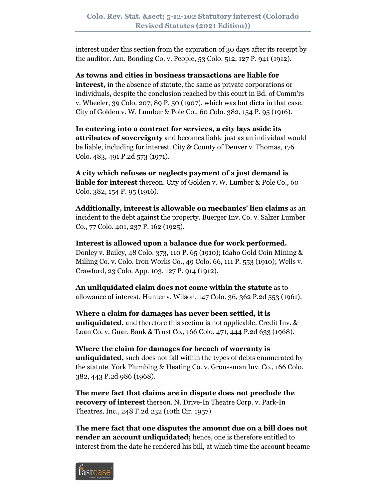interest under this section from the expiration of 30 days after its receipt by the auditor. Am. Bonding Co. v. People, 53 Colo. 512, 127 P. 941 (1912).

**As towns and cities in business transactions are liable for interest,** in the absence of statute, the same as private corporations or individuals, despite the conclusion reached by this court in Bd. of Comm'rs v. Wheeler, 39 Colo. 207, 89 P. 50 (1907), which was but dicta in that case. City of Golden v. W. Lumber & Pole Co., 60 Colo. 382, 154 P. 95 (1916).

**In entering into a contract for services, a city lays aside its attributes of sovereignty** and becomes liable just as an individual would be liable, including for interest. City & County of Denver v. Thomas, 176 Colo. 483, 491 P.2d 573 (1971).

**A city which refuses or neglects payment of a just demand is liable for interest** thereon. City of Golden v. W. Lumber & Pole Co., 60 Colo. 382, 154 P. 95 (1916).

**Additionally, interest is allowable on mechanics' lien claims** as an incident to the debt against the property. Buerger Inv. Co. v. Salzer Lumber Co., 77 Colo. 401, 237 P. 162 (1925).

**Interest is allowed upon a balance due for work performed.** Donley v. Bailey, 48 Colo. 373, 110 P. 65 (1910); Idaho Gold Coin Mining & Milling Co. v. Colo. Iron Works Co., 49 Colo. 66, 111 P. 553 (1910); Wells v. Crawford, 23 Colo. App. 103, 127 P. 914 (1912).

**An unliquidated claim does not come within the statute** as to allowance of interest. Hunter v. Wilson, 147 Colo. 36, 362 P.2d 553 (1961).

**Where a claim for damages has never been settled, it is unliquidated,** and therefore this section is not applicable. Credit Inv. & Loan Co. v. Guar. Bank & Trust Co., 166 Colo. 471, 444 P.2d 633 (1968).

**Where the claim for damages for breach of warranty is unliquidated,** such does not fall within the types of debts enumerated by the statute. York Plumbing & Heating Co. v. Groussman Inv. Co., 166 Colo. 382, 443 P.2d 986 (1968).

**The mere fact that claims are in dispute does not preclude the recovery of interest** thereon. N. Drive-In Theatre Corp. v. Park-In Theatres, Inc., 248 F.2d 232 (10th Cir. 1957).

**The mere fact that one disputes the amount due on a bill does not render an account unliquidated;** hence, one is therefore entitled to interest from the date he rendered his bill, at which time the account became

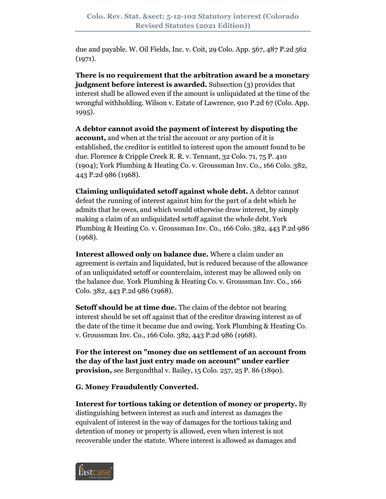due and payable. W. Oil Fields, Inc. v. Coit, 29 Colo. App. 567, 487 P.2d 562 (1971).

**There is no requirement that the arbitration award be a monetary judgment before interest is awarded.** Subsection (3) provides that interest shall be allowed even if the amount is unliquidated at the time of the wrongful withholding. Wilson v. Estate of Lawrence, 910 P.2d 67 (Colo. App. 1995).

**A debtor cannot avoid the payment of interest by disputing the account,** and when at the trial the account or any portion of it is established, the creditor is entitled to interest upon the amount found to be due. Florence & Cripple Creek R. R. v. Tennant, 32 Colo. 71, 75 P. 410 (1904); York Plumbing & Heating Co. v. Groussman Inv. Co., 166 Colo. 382, 443 P.2d 986 (1968).

**Claiming unliquidated setoff against whole debt.** A debtor cannot defeat the running of interest against him for the part of a debt which he admits that he owes, and which would otherwise draw interest, by simply making a claim of an unliquidated setoff against the whole debt. York Plumbing & Heating Co. v. Groussman Inv. Co., 166 Colo. 382, 443 P.2d 986 (1968).

**Interest allowed only on balance due.** Where a claim under an agreement is certain and liquidated, but is reduced because of the allowance of an unliquidated setoff or counterclaim, interest may be allowed only on the balance due. York Plumbing & Heating Co. v. Groussman Inv. Co., 166 Colo. 382, 443 P.2d 986 (1968).

**Setoff should be at time due.** The claim of the debtor not bearing interest should be set off against that of the creditor drawing interest as of the date of the time it became due and owing. York Plumbing & Heating Co. v. Groussman Inv. Co., 166 Colo. 382, 443 P.2d 986 (1968).

**For the interest on "money due on settlement of an account from the day of the last just entry made on account" under earlier provision,** see Bergundthal v. Bailey, 15 Colo. 257, 25 P. 86 (1890).

**G. Money Fraudulently Converted.**

**Interest for tortious taking or detention of money or property.** By distinguishing between interest as such and interest as damages the equivalent of interest in the way of damages for the tortious taking and detention of money or property is allowed, even when interest is not recoverable under the statute. Where interest is allowed as damages and

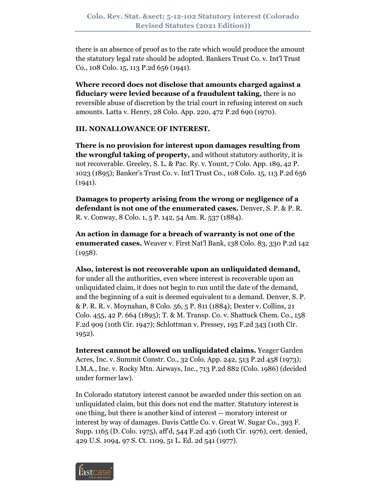there is an absence of proof as to the rate which would produce the amount the statutory legal rate should be adopted. Bankers Trust Co. v. Int'l Trust Co., 108 Colo. 15, 113 P.2d 656 (1941).

**Where record does not disclose that amounts charged against a fiduciary were levied because of a fraudulent taking,** there is no reversible abuse of discretion by the trial court in refusing interest on such amounts. Latta v. Henry, 28 Colo. App. 220, 472 P.2d 690 (1970).

### **III. NONALLOWANCE OF INTEREST.**

**There is no provision for interest upon damages resulting from the wrongful taking of property,** and without statutory authority, it is not recoverable. Greeley, S. L. & Pac. Ry. v. Yount, 7 Colo. App. 189, 42 P. 1023 (1895); Banker's Trust Co. v. Int'l Trust Co., 108 Colo. 15, 113 P.2d 656 (1941).

**Damages to property arising from the wrong or negligence of a defendant is not one of the enumerated cases.** Denver, S. P. & P. R. R. v. Conway, 8 Colo. 1, 5 P. 142, 54 Am. R. 537 (1884).

**An action in damage for a breach of warranty is not one of the enumerated cases.** Weaver v. First Nat'l Bank, 138 Colo. 83, 330 P.2d 142 (1958).

**Also, interest is not recoverable upon an unliquidated demand,** for under all the authorities, even where interest is recoverable upon an unliquidated claim, it does not begin to run until the date of the demand, and the beginning of a suit is deemed equivalent to a demand. Denver, S. P. & P. R. R. v. Moynahan, 8 Colo. 56, 5 P. 811 (1884); Dexter v. Collins, 21 Colo. 455, 42 P. 664 (1895); T. & M. Transp. Co. v. Shattuck Chem. Co., 158 F.2d 909 (10th Cir. 1947); Schlottman v. Pressey, 195 F.2d 343 (10th Cir. 1952).

**Interest cannot be allowed on unliquidated claims.** Yeager Garden Acres, Inc. v. Summit Constr. Co., 32 Colo. App. 242, 513 P.2d 458 (1973); I.M.A., Inc. v. Rocky Mtn. Airways, Inc., 713 P.2d 882 (Colo. 1986) (decided under former law).

In Colorado statutory interest cannot be awarded under this section on an unliquidated claim, but this does not end the matter. Statutory interest is one thing, but there is another kind of interest -- moratory interest or interest by way of damages. Davis Cattle Co. v. Great W. Sugar Co., 393 F. Supp. 1165 (D. Colo. 1975), aff'd, 544 F.2d 436 (10th Cir. 1976), cert. denied, 429 U.S. 1094, 97 S. Ct. 1109, 51 L. Ed. 2d 541 (1977).

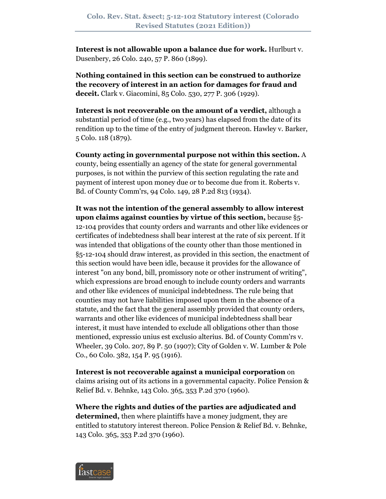**Interest is not allowable upon a balance due for work.** Hurlburt v. Dusenbery, 26 Colo. 240, 57 P. 860 (1899).

**Nothing contained in this section can be construed to authorize the recovery of interest in an action for damages for fraud and deceit.** Clark v. Giacomini, 85 Colo. 530, 277 P. 306 (1929).

**Interest is not recoverable on the amount of a verdict,** although a substantial period of time (e.g., two years) has elapsed from the date of its rendition up to the time of the entry of judgment thereon. Hawley v. Barker, 5 Colo. 118 (1879).

**County acting in governmental purpose not within this section.** A county, being essentially an agency of the state for general governmental purposes, is not within the purview of this section regulating the rate and payment of interest upon money due or to become due from it. Roberts v. Bd. of County Comm'rs, 94 Colo. 149, 28 P.2d 813 (1934).

**It was not the intention of the general assembly to allow interest upon claims against counties by virtue of this section,** because §5- 12-104 provides that county orders and warrants and other like evidences or certificates of indebtedness shall bear interest at the rate of six percent. If it was intended that obligations of the county other than those mentioned in §5-12-104 should draw interest, as provided in this section, the enactment of this section would have been idle, because it provides for the allowance of interest "on any bond, bill, promissory note or other instrument of writing", which expressions are broad enough to include county orders and warrants and other like evidences of municipal indebtedness. The rule being that counties may not have liabilities imposed upon them in the absence of a statute, and the fact that the general assembly provided that county orders, warrants and other like evidences of municipal indebtedness shall bear interest, it must have intended to exclude all obligations other than those mentioned, expressio unius est exclusio alterius. Bd. of County Comm'rs v. Wheeler, 39 Colo. 207, 89 P. 50 (1907); City of Golden v. W. Lumber & Pole Co., 60 Colo. 382, 154 P. 95 (1916).

**Interest is not recoverable against a municipal corporation** on claims arising out of its actions in a governmental capacity. Police Pension & Relief Bd. v. Behnke, 143 Colo. 365, 353 P.2d 370 (1960).

**Where the rights and duties of the parties are adjudicated and determined,** then where plaintiffs have a money judgment, they are entitled to statutory interest thereon. Police Pension & Relief Bd. v. Behnke, 143 Colo. 365, 353 P.2d 370 (1960).

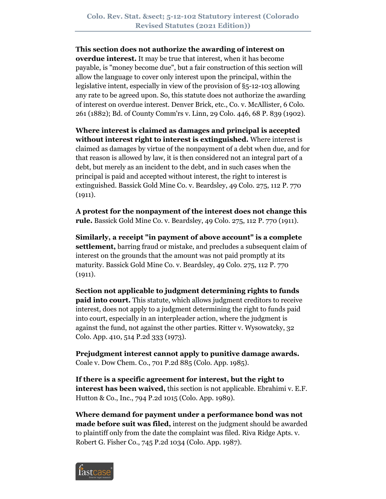#### **This section does not authorize the awarding of interest on**

**overdue interest.** It may be true that interest, when it has become payable, is "money become due", but a fair construction of this section will allow the language to cover only interest upon the principal, within the legislative intent, especially in view of the provision of §5-12-103 allowing any rate to be agreed upon. So, this statute does not authorize the awarding of interest on overdue interest. Denver Brick, etc., Co. v. McAllister, 6 Colo. 261 (1882); Bd. of County Comm'rs v. Linn, 29 Colo. 446, 68 P. 839 (1902).

**Where interest is claimed as damages and principal is accepted without interest right to interest is extinguished.** Where interest is claimed as damages by virtue of the nonpayment of a debt when due, and for that reason is allowed by law, it is then considered not an integral part of a debt, but merely as an incident to the debt, and in such cases when the principal is paid and accepted without interest, the right to interest is extinguished. Bassick Gold Mine Co. v. Beardsley, 49 Colo. 275, 112 P. 770  $(1911).$ 

**A protest for the nonpayment of the interest does not change this rule.** Bassick Gold Mine Co. v. Beardsley, 49 Colo. 275, 112 P. 770 (1911).

**Similarly, a receipt "in payment of above account" is a complete settlement,** barring fraud or mistake, and precludes a subsequent claim of interest on the grounds that the amount was not paid promptly at its maturity. Bassick Gold Mine Co. v. Beardsley, 49 Colo. 275, 112 P. 770  $(1911).$ 

**Section not applicable to judgment determining rights to funds paid into court.** This statute, which allows judgment creditors to receive interest, does not apply to a judgment determining the right to funds paid into court, especially in an interpleader action, where the judgment is against the fund, not against the other parties. Ritter v. Wysowatcky, 32 Colo. App. 410, 514 P.2d 333 (1973).

**Prejudgment interest cannot apply to punitive damage awards.** Coale v. Dow Chem. Co., 701 P.2d 885 (Colo. App. 1985).

**If there is a specific agreement for interest, but the right to interest has been waived,** this section is not applicable. Ebrahimi v. E.F. Hutton & Co., Inc., 794 P.2d 1015 (Colo. App. 1989).

**Where demand for payment under a performance bond was not made before suit was filed,** interest on the judgment should be awarded to plaintiff only from the date the complaint was filed. Riva Ridge Apts. v. Robert G. Fisher Co., 745 P.2d 1034 (Colo. App. 1987).

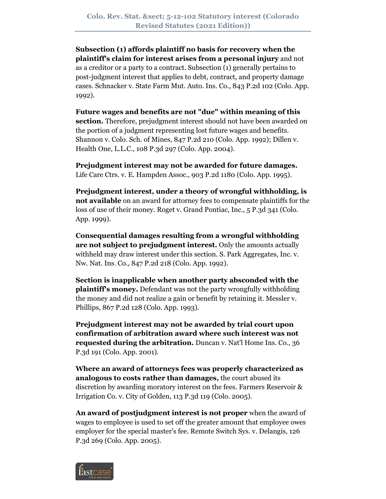**Subsection (1) affords plaintiff no basis for recovery when the plaintiff's claim for interest arises from a personal injury** and not as a creditor or a party to a contract. Subsection (1) generally pertains to post-judgment interest that applies to debt, contract, and property damage cases. Schnacker v. State Farm Mut. Auto. Ins. Co., 843 P.2d 102 (Colo. App. 1992).

**Future wages and benefits are not "due" within meaning of this section.** Therefore, prejudgment interest should not have been awarded on the portion of a judgment representing lost future wages and benefits. Shannon v. Colo. Sch. of Mines, 847 P.2d 210 (Colo. App. 1992); Dillen v. Health One, L.L.C., 108 P.3d 297 (Colo. App. 2004).

**Prejudgment interest may not be awarded for future damages.** Life Care Ctrs. v. E. Hampden Assoc., 903 P.2d 1180 (Colo. App. 1995).

**Prejudgment interest, under a theory of wrongful withholding, is not available** on an award for attorney fees to compensate plaintiffs for the loss of use of their money. Roget v. Grand Pontiac, Inc., 5 P.3d 341 (Colo. App. 1999).

**Consequential damages resulting from a wrongful withholding are not subject to prejudgment interest.** Only the amounts actually withheld may draw interest under this section. S. Park Aggregates, Inc. v. Nw. Nat. Ins. Co., 847 P.2d 218 (Colo. App. 1992).

**Section is inapplicable when another party absconded with the plaintiff's money.** Defendant was not the party wrongfully withholding the money and did not realize a gain or benefit by retaining it. Messler v. Phillips, 867 P.2d 128 (Colo. App. 1993).

**Prejudgment interest may not be awarded by trial court upon confirmation of arbitration award where such interest was not requested during the arbitration.** Duncan v. Nat'l Home Ins. Co., 36 P.3d 191 (Colo. App. 2001).

**Where an award of attorneys fees was properly characterized as analogous to costs rather than damages,** the court abused its discretion by awarding moratory interest on the fees. Farmers Reservoir & Irrigation Co. v. City of Golden, 113 P.3d 119 (Colo. 2005).

**An award of postjudgment interest is not proper** when the award of wages to employee is used to set off the greater amount that employee owes employer for the special master's fee. Remote Switch Sys. v. Delangis, 126 P.3d 269 (Colo. App. 2005).

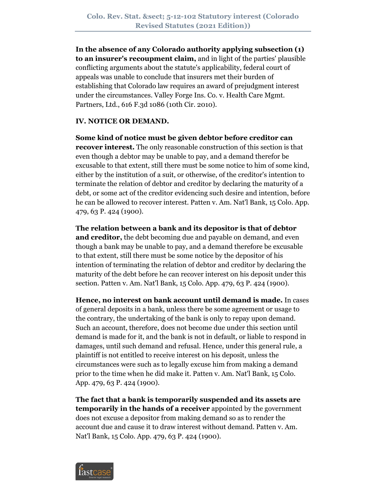**In the absence of any Colorado authority applying subsection (1) to an insurer's recoupment claim,** and in light of the parties' plausible conflicting arguments about the statute's applicability, federal court of appeals was unable to conclude that insurers met their burden of establishing that Colorado law requires an award of prejudgment interest under the circumstances. Valley Forge Ins. Co. v. Health Care Mgmt. Partners, Ltd., 616 F.3d 1086 (10th Cir. 2010).

## **IV. NOTICE OR DEMAND.**

**Some kind of notice must be given debtor before creditor can recover interest.** The only reasonable construction of this section is that even though a debtor may be unable to pay, and a demand therefor be excusable to that extent, still there must be some notice to him of some kind, either by the institution of a suit, or otherwise, of the creditor's intention to terminate the relation of debtor and creditor by declaring the maturity of a debt, or some act of the creditor evidencing such desire and intention, before he can be allowed to recover interest. Patten v. Am. Nat'l Bank, 15 Colo. App. 479, 63 P. 424 (1900).

**The relation between a bank and its depositor is that of debtor** 

**and creditor,** the debt becoming due and payable on demand, and even though a bank may be unable to pay, and a demand therefore be excusable to that extent, still there must be some notice by the depositor of his intention of terminating the relation of debtor and creditor by declaring the maturity of the debt before he can recover interest on his deposit under this section. Patten v. Am. Nat'l Bank, 15 Colo. App. 479, 63 P. 424 (1900).

**Hence, no interest on bank account until demand is made.** In cases of general deposits in a bank, unless there be some agreement or usage to the contrary, the undertaking of the bank is only to repay upon demand. Such an account, therefore, does not become due under this section until demand is made for it, and the bank is not in default, or liable to respond in damages, until such demand and refusal. Hence, under this general rule, a plaintiff is not entitled to receive interest on his deposit, unless the circumstances were such as to legally excuse him from making a demand prior to the time when he did make it. Patten v. Am. Nat'l Bank, 15 Colo. App. 479, 63 P. 424 (1900).

**The fact that a bank is temporarily suspended and its assets are temporarily in the hands of a receiver** appointed by the government does not excuse a depositor from making demand so as to render the account due and cause it to draw interest without demand. Patten v. Am. Nat'l Bank, 15 Colo. App. 479, 63 P. 424 (1900).

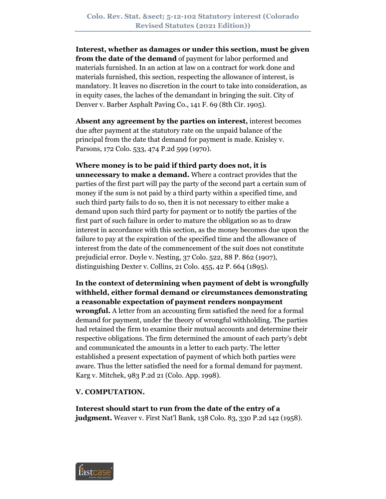**Interest, whether as damages or under this section, must be given from the date of the demand** of payment for labor performed and materials furnished. In an action at law on a contract for work done and materials furnished, this section, respecting the allowance of interest, is mandatory. It leaves no discretion in the court to take into consideration, as in equity cases, the laches of the demandant in bringing the suit. City of Denver v. Barber Asphalt Paving Co., 141 F. 69 (8th Cir. 1905).

**Absent any agreement by the parties on interest,** interest becomes due after payment at the statutory rate on the unpaid balance of the principal from the date that demand for payment is made. Knisley v. Parsons, 172 Colo. 533, 474 P.2d 599 (1970).

**Where money is to be paid if third party does not, it is unnecessary to make a demand.** Where a contract provides that the parties of the first part will pay the party of the second part a certain sum of money if the sum is not paid by a third party within a specified time, and such third party fails to do so, then it is not necessary to either make a demand upon such third party for payment or to notify the parties of the first part of such failure in order to mature the obligation so as to draw interest in accordance with this section, as the money becomes due upon the failure to pay at the expiration of the specified time and the allowance of interest from the date of the commencement of the suit does not constitute prejudicial error. Doyle v. Nesting, 37 Colo. 522, 88 P. 862 (1907), distinguishing Dexter v. Collins, 21 Colo. 455, 42 P. 664 (1895).

**In the context of determining when payment of debt is wrongfully withheld, either formal demand or circumstances demonstrating a reasonable expectation of payment renders nonpayment wrongful.** A letter from an accounting firm satisfied the need for a formal demand for payment, under the theory of wrongful withholding. The parties had retained the firm to examine their mutual accounts and determine their respective obligations. The firm determined the amount of each party's debt and communicated the amounts in a letter to each party. The letter established a present expectation of payment of which both parties were aware. Thus the letter satisfied the need for a formal demand for payment. Karg v. Mitchek, 983 P.2d 21 (Colo. App. 1998).

#### **V. COMPUTATION.**

**Interest should start to run from the date of the entry of a judgment.** Weaver v. First Nat'l Bank, 138 Colo. 83, 330 P.2d 142 (1958).

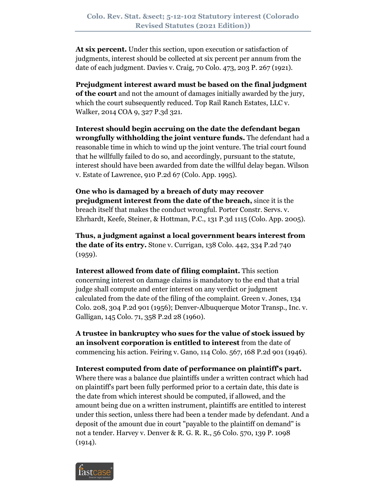**At six percent.** Under this section, upon execution or satisfaction of judgments, interest should be collected at six percent per annum from the date of each judgment. Davies v. Craig, 70 Colo. 473, 203 P. 267 (1921).

**Prejudgment interest award must be based on the final judgment of the court** and not the amount of damages initially awarded by the jury, which the court subsequently reduced. Top Rail Ranch Estates, LLC v. Walker, 2014 COA 9, 327 P.3d 321.

**Interest should begin accruing on the date the defendant began wrongfully withholding the joint venture funds.** The defendant had a reasonable time in which to wind up the joint venture. The trial court found that he willfully failed to do so, and accordingly, pursuant to the statute, interest should have been awarded from date the willful delay began. Wilson v. Estate of Lawrence, 910 P.2d 67 (Colo. App. 1995).

**One who is damaged by a breach of duty may recover prejudgment interest from the date of the breach,** since it is the breach itself that makes the conduct wrongful. Porter Constr. Servs. v. Ehrhardt, Keefe, Steiner, & Hottman, P.C., 131 P.3d 1115 (Colo. App. 2005).

**Thus, a judgment against a local government bears interest from the date of its entry.** Stone v. Currigan, 138 Colo. 442, 334 P.2d 740  $(1959).$ 

**Interest allowed from date of filing complaint.** This section concerning interest on damage claims is mandatory to the end that a trial judge shall compute and enter interest on any verdict or judgment calculated from the date of the filing of the complaint. Green v. Jones, 134 Colo. 208, 304 P.2d 901 (1956); Denver-Albuquerque Motor Transp., Inc. v. Galligan, 145 Colo. 71, 358 P.2d 28 (1960).

**A trustee in bankruptcy who sues for the value of stock issued by an insolvent corporation is entitled to interest** from the date of commencing his action. Feiring v. Gano, 114 Colo. 567, 168 P.2d 901 (1946).

## **Interest computed from date of performance on plaintiff's part.**

Where there was a balance due plaintiffs under a written contract which had on plaintiff's part been fully performed prior to a certain date, this date is the date from which interest should be computed, if allowed, and the amount being due on a written instrument, plaintiffs are entitled to interest under this section, unless there had been a tender made by defendant. And a deposit of the amount due in court "payable to the plaintiff on demand" is not a tender. Harvey v. Denver & R. G. R. R., 56 Colo. 570, 139 P. 1098  $(1914).$ 

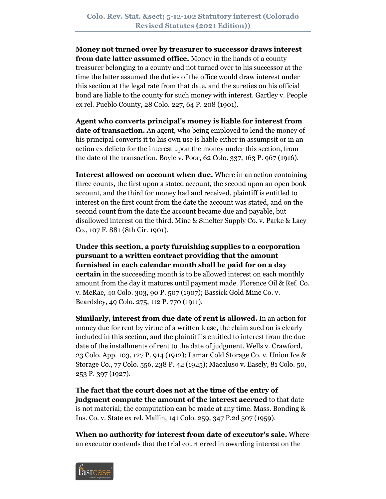**Money not turned over by treasurer to successor draws interest from date latter assumed office.** Money in the hands of a county treasurer belonging to a county and not turned over to his successor at the time the latter assumed the duties of the office would draw interest under this section at the legal rate from that date, and the sureties on his official bond are liable to the county for such money with interest. Gartley v. People ex rel. Pueblo County, 28 Colo. 227, 64 P. 208 (1901).

**Agent who converts principal's money is liable for interest from date of transaction.** An agent, who being employed to lend the money of his principal converts it to his own use is liable either in assumpsit or in an action ex delicto for the interest upon the money under this section, from the date of the transaction. Boyle v. Poor, 62 Colo. 337, 163 P. 967 (1916).

**Interest allowed on account when due.** Where in an action containing three counts, the first upon a stated account, the second upon an open book account, and the third for money had and received, plaintiff is entitled to interest on the first count from the date the account was stated, and on the second count from the date the account became due and payable, but disallowed interest on the third. Mine & Smelter Supply Co. v. Parke & Lacy Co., 107 F. 881 (8th Cir. 1901).

**Under this section, a party furnishing supplies to a corporation pursuant to a written contract providing that the amount furnished in each calendar month shall be paid for on a day certain** in the succeeding month is to be allowed interest on each monthly amount from the day it matures until payment made. Florence Oil & Ref. Co. v. McRae, 40 Colo. 303, 90 P. 507 (1907); Bassick Gold Mine Co. v. Beardsley, 49 Colo. 275, 112 P. 770 (1911).

**Similarly, interest from due date of rent is allowed.** In an action for money due for rent by virtue of a written lease, the claim sued on is clearly included in this section, and the plaintiff is entitled to interest from the due date of the installments of rent to the date of judgment. Wells v. Crawford, 23 Colo. App. 103, 127 P. 914 (1912); Lamar Cold Storage Co. v. Union Ice & Storage Co., 77 Colo. 556, 238 P. 42 (1925); Macaluso v. Easely, 81 Colo. 50, 253 P. 397 (1927).

**The fact that the court does not at the time of the entry of judgment compute the amount of the interest accrued** to that date is not material; the computation can be made at any time. Mass. Bonding & Ins. Co. v. State ex rel. Mallin, 141 Colo. 259, 347 P.2d 507 (1959).

**When no authority for interest from date of executor's sale.** Where an executor contends that the trial court erred in awarding interest on the

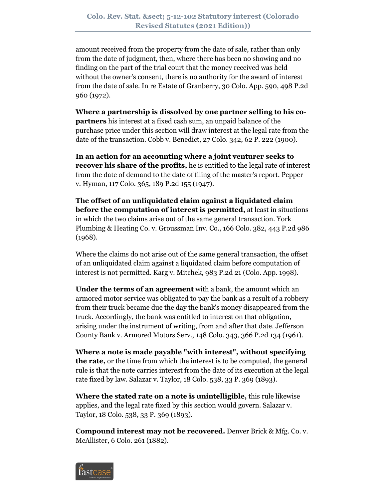amount received from the property from the date of sale, rather than only from the date of judgment, then, where there has been no showing and no finding on the part of the trial court that the money received was held without the owner's consent, there is no authority for the award of interest from the date of sale. In re Estate of Granberry, 30 Colo. App. 590, 498 P.2d 960 (1972).

**Where a partnership is dissolved by one partner selling to his copartners** his interest at a fixed cash sum, an unpaid balance of the purchase price under this section will draw interest at the legal rate from the date of the transaction. Cobb v. Benedict, 27 Colo. 342, 62 P. 222 (1900).

**In an action for an accounting where a joint venturer seeks to recover his share of the profits,** he is entitled to the legal rate of interest from the date of demand to the date of filing of the master's report. Pepper v. Hyman, 117 Colo. 365, 189 P.2d 155 (1947).

**The offset of an unliquidated claim against a liquidated claim before the computation of interest is permitted,** at least in situations in which the two claims arise out of the same general transaction. York Plumbing & Heating Co. v. Groussman Inv. Co., 166 Colo. 382, 443 P.2d 986 (1968).

Where the claims do not arise out of the same general transaction, the offset of an unliquidated claim against a liquidated claim before computation of interest is not permitted. Karg v. Mitchek, 983 P.2d 21 (Colo. App. 1998).

**Under the terms of an agreement** with a bank, the amount which an armored motor service was obligated to pay the bank as a result of a robbery from their truck became due the day the bank's money disappeared from the truck. Accordingly, the bank was entitled to interest on that obligation, arising under the instrument of writing, from and after that date. Jefferson County Bank v. Armored Motors Serv., 148 Colo. 343, 366 P.2d 134 (1961).

**Where a note is made payable "with interest", without specifying the rate,** or the time from which the interest is to be computed, the general rule is that the note carries interest from the date of its execution at the legal rate fixed by law. Salazar v. Taylor, 18 Colo. 538, 33 P. 369 (1893).

**Where the stated rate on a note is unintelligible,** this rule likewise applies, and the legal rate fixed by this section would govern. Salazar v. Taylor, 18 Colo. 538, 33 P. 369 (1893).

**Compound interest may not be recovered.** Denver Brick & Mfg. Co. v. McAllister, 6 Colo. 261 (1882).

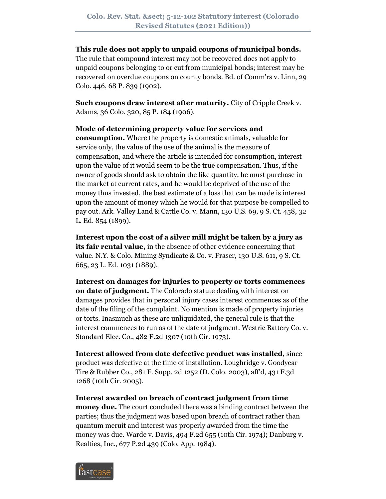#### **This rule does not apply to unpaid coupons of municipal bonds.**

The rule that compound interest may not be recovered does not apply to unpaid coupons belonging to or cut from municipal bonds; interest may be recovered on overdue coupons on county bonds. Bd. of Comm'rs v. Linn, 29 Colo. 446, 68 P. 839 (1902).

**Such coupons draw interest after maturity.** City of Cripple Creek v. Adams, 36 Colo. 320, 85 P. 184 (1906).

**Mode of determining property value for services and consumption.** Where the property is domestic animals, valuable for service only, the value of the use of the animal is the measure of compensation, and where the article is intended for consumption, interest upon the value of it would seem to be the true compensation. Thus, if the owner of goods should ask to obtain the like quantity, he must purchase in the market at current rates, and he would be deprived of the use of the money thus invested, the best estimate of a loss that can be made is interest upon the amount of money which he would for that purpose be compelled to pay out. Ark. Valley Land & Cattle Co. v. Mann, 130 U.S. 69, 9 S. Ct. 458, 32 L. Ed. 854 (1899).

**Interest upon the cost of a silver mill might be taken by a jury as its fair rental value,** in the absence of other evidence concerning that value. N.Y. & Colo. Mining Syndicate & Co. v. Fraser, 130 U.S. 611, 9 S. Ct. 665, 23 L. Ed. 1031 (1889).

**Interest on damages for injuries to property or torts commences on date of judgment.** The Colorado statute dealing with interest on damages provides that in personal injury cases interest commences as of the date of the filing of the complaint. No mention is made of property injuries or torts. Inasmuch as these are unliquidated, the general rule is that the interest commences to run as of the date of judgment. Westric Battery Co. v. Standard Elec. Co., 482 F.2d 1307 (10th Cir. 1973).

**Interest allowed from date defective product was installed,** since product was defective at the time of installation. Loughridge v. Goodyear Tire & Rubber Co., 281 F. Supp. 2d 1252 (D. Colo. 2003), aff'd, 431 F.3d 1268 (10th Cir. 2005).

**Interest awarded on breach of contract judgment from time money due.** The court concluded there was a binding contract between the parties; thus the judgment was based upon breach of contract rather than quantum meruit and interest was properly awarded from the time the money was due. Warde v. Davis, 494 F.2d 655 (10th Cir. 1974); Danburg v. Realties, Inc., 677 P.2d 439 (Colo. App. 1984).

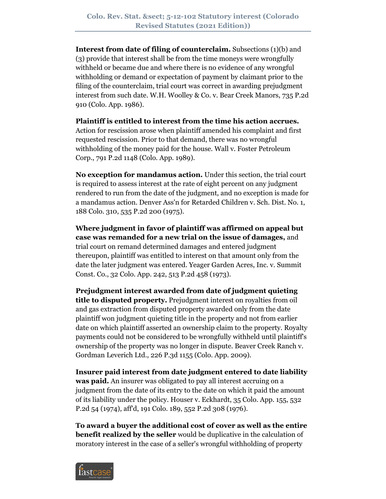**Interest from date of filing of counterclaim.** Subsections (1)(b) and (3) provide that interest shall be from the time moneys were wrongfully withheld or became due and where there is no evidence of any wrongful withholding or demand or expectation of payment by claimant prior to the filing of the counterclaim, trial court was correct in awarding prejudgment interest from such date. W.H. Woolley & Co. v. Bear Creek Manors, 735 P.2d 910 (Colo. App. 1986).

**Plaintiff is entitled to interest from the time his action accrues.**

Action for rescission arose when plaintiff amended his complaint and first requested rescission. Prior to that demand, there was no wrongful withholding of the money paid for the house. Wall v. Foster Petroleum Corp., 791 P.2d 1148 (Colo. App. 1989).

**No exception for mandamus action.** Under this section, the trial court is required to assess interest at the rate of eight percent on any judgment rendered to run from the date of the judgment, and no exception is made for a mandamus action. Denver Ass'n for Retarded Children v. Sch. Dist. No. 1, 188 Colo. 310, 535 P.2d 200 (1975).

**Where judgment in favor of plaintiff was affirmed on appeal but case was remanded for a new trial on the issue of damages,** and trial court on remand determined damages and entered judgment thereupon, plaintiff was entitled to interest on that amount only from the date the later judgment was entered. Yeager Garden Acres, Inc. v. Summit Const. Co., 32 Colo. App. 242, 513 P.2d 458 (1973).

**Prejudgment interest awarded from date of judgment quieting title to disputed property.** Prejudgment interest on royalties from oil and gas extraction from disputed property awarded only from the date plaintiff won judgment quieting title in the property and not from earlier date on which plaintiff asserted an ownership claim to the property. Royalty payments could not be considered to be wrongfully withheld until plaintiff's ownership of the property was no longer in dispute. Beaver Creek Ranch v. Gordman Leverich Ltd., 226 P.3d 1155 (Colo. App. 2009).

**Insurer paid interest from date judgment entered to date liability was paid.** An insurer was obligated to pay all interest accruing on a judgment from the date of its entry to the date on which it paid the amount of its liability under the policy. Houser v. Eckhardt, 35 Colo. App. 155, 532 P.2d 54 (1974), aff'd, 191 Colo. 189, 552 P.2d 308 (1976).

**To award a buyer the additional cost of cover as well as the entire benefit realized by the seller** would be duplicative in the calculation of moratory interest in the case of a seller's wrongful withholding of property

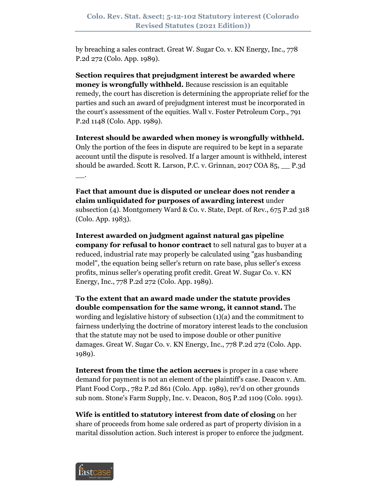by breaching a sales contract. Great W. Sugar Co. v. KN Energy, Inc., 778 P.2d 272 (Colo. App. 1989).

**Section requires that prejudgment interest be awarded where money is wrongfully withheld.** Because rescission is an equitable remedy, the court has discretion is determining the appropriate relief for the parties and such an award of prejudgment interest must be incorporated in the court's assessment of the equities. Wall v. Foster Petroleum Corp., 791 P.2d 1148 (Colo. App. 1989).

**Interest should be awarded when money is wrongfully withheld.** Only the portion of the fees in dispute are required to be kept in a separate account until the dispute is resolved. If a larger amount is withheld, interest should be awarded. Scott R. Larson, P.C. v. Grinnan, 2017 COA 85, \_\_ P.3d  $\overline{\phantom{a}}$ .

**Fact that amount due is disputed or unclear does not render a claim unliquidated for purposes of awarding interest** under subsection (4). Montgomery Ward & Co. v. State, Dept. of Rev., 675 P.2d 318 (Colo. App. 1983).

**Interest awarded on judgment against natural gas pipeline company for refusal to honor contract** to sell natural gas to buyer at a reduced, industrial rate may properly be calculated using "gas husbanding model", the equation being seller's return on rate base, plus seller's excess profits, minus seller's operating profit credit. Great W. Sugar Co. v. KN Energy, Inc., 778 P.2d 272 (Colo. App. 1989).

**To the extent that an award made under the statute provides double compensation for the same wrong, it cannot stand.** The wording and legislative history of subsection (1)(a) and the commitment to fairness underlying the doctrine of moratory interest leads to the conclusion that the statute may not be used to impose double or other punitive damages. Great W. Sugar Co. v. KN Energy, Inc., 778 P.2d 272 (Colo. App. 1989).

**Interest from the time the action accrues** is proper in a case where demand for payment is not an element of the plaintiff's case. Deacon v. Am. Plant Food Corp., 782 P.2d 861 (Colo. App. 1989), rev'd on other grounds sub nom. Stone's Farm Supply, Inc. v. Deacon, 805 P.2d 1109 (Colo. 1991).

**Wife is entitled to statutory interest from date of closing** on her share of proceeds from home sale ordered as part of property division in a marital dissolution action. Such interest is proper to enforce the judgment.

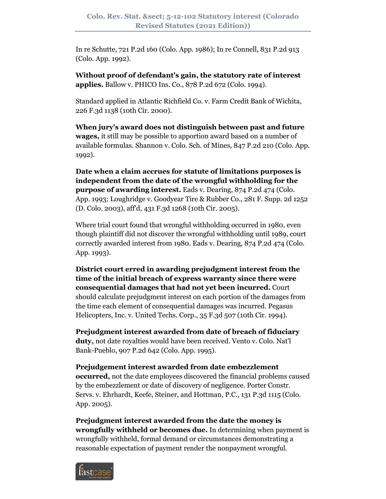In re Schutte, 721 P.2d 160 (Colo. App. 1986); In re Connell, 831 P.2d 913 (Colo. App. 1992).

**Without proof of defendant's gain, the statutory rate of interest applies.** Ballow v. PHICO Ins. Co., 878 P.2d 672 (Colo. 1994).

Standard applied in Atlantic Richfield Co. v. Farm Credit Bank of Wichita, 226 F.3d 1138 (10th Cir. 2000).

**When jury's award does not distinguish between past and future wages,** it still may be possible to apportion award based on a number of available formulas. Shannon v. Colo. Sch. of Mines, 847 P.2d 210 (Colo. App. 1992).

**Date when a claim accrues for statute of limitations purposes is independent from the date of the wrongful withholding for the purpose of awarding interest.** Eads v. Dearing, 874 P.2d 474 (Colo. App. 1993; Loughridge v. Goodyear Tire & Rubber Co., 281 F. Supp. 2d 1252 (D. Colo. 2003), aff'd, 431 F.3d 1268 (10th Cir. 2005).

Where trial court found that wrongful withholding occurred in 1980, even though plaintiff did not discover the wrongful withholding until 1989, court correctly awarded interest from 1980. Eads v. Dearing, 874 P.2d 474 (Colo. App. 1993).

**District court erred in awarding prejudgment interest from the time of the initial breach of express warranty since there were consequential damages that had not yet been incurred.** Court should calculate prejudgment interest on each portion of the damages from the time each element of consequential damages was incurred. Pegasus Helicopters, Inc. v. United Techs. Corp., 35 F.3d 507 (10th Cir. 1994).

**Prejudgment interest awarded from date of breach of fiduciary duty,** not date royalties would have been received. Vento v. Colo. Nat'l Bank-Pueblo, 907 P.2d 642 (Colo. App. 1995).

**Prejudgement interest awarded from date embezzlement occurred,** not the date employees discovered the financial problems caused by the embezzlement or date of discovery of negligence. Porter Constr. Servs. v. Ehrhardt, Keefe, Steiner, and Hottman, P.C., 131 P.3d 1115 (Colo. App. 2005).

**Prejudgment interest awarded from the date the money is wrongfully withheld or becomes due.** In determining when payment is wrongfully withheld, formal demand or circumstances demonstrating a reasonable expectation of payment render the nonpayment wrongful.